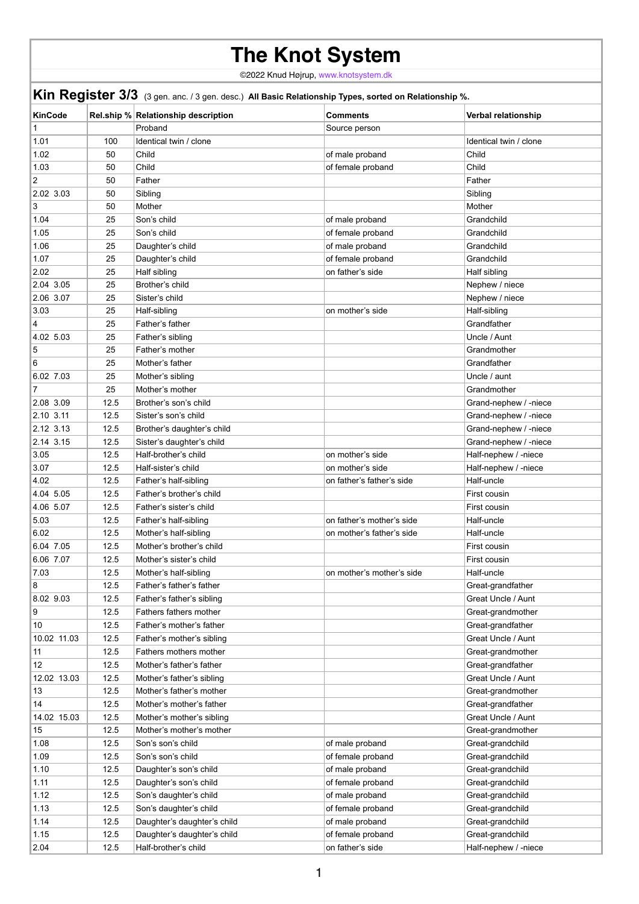## **The Knot System**

©2022 Knud Højrup, [www.knotsystem.dk](http://www.knotsystem.dk/contact.html)

| Kin Register 3/3 (3 gen. anc. / 3 gen. desc.) All Basic Relationship Types, sorted on Relationship %. |      |                                            |                           |                            |  |  |
|-------------------------------------------------------------------------------------------------------|------|--------------------------------------------|---------------------------|----------------------------|--|--|
| <b>KinCode</b>                                                                                        |      | <b>Rel.ship % Relationship description</b> | <b>Comments</b>           | <b>Verbal relationship</b> |  |  |
| 1                                                                                                     |      | Proband                                    | Source person             |                            |  |  |
| 1.01                                                                                                  | 100  | Identical twin / clone                     |                           | Identical twin / clone     |  |  |
| 1.02                                                                                                  | 50   | Child                                      | of male proband           | Child                      |  |  |
| 1.03                                                                                                  | 50   | Child                                      | of female proband         | Child                      |  |  |
| $ 2\rangle$                                                                                           | 50   | Father                                     |                           | Father                     |  |  |
| 2.02 3.03                                                                                             | 50   | Sibling                                    |                           | Sibling                    |  |  |
| 3                                                                                                     | 50   | Mother                                     |                           | Mother                     |  |  |
| 1.04                                                                                                  | 25   | Son's child                                | of male proband           | Grandchild                 |  |  |
| 1.05                                                                                                  | 25   | Son's child                                | of female proband         | Grandchild                 |  |  |
| 1.06                                                                                                  | 25   | Daughter's child                           | of male proband           | Grandchild                 |  |  |
| 1.07                                                                                                  | 25   | Daughter's child                           | of female proband         | Grandchild                 |  |  |
| 2.02                                                                                                  | 25   | Half sibling                               | on father's side          | Half sibling               |  |  |
| 2.04 3.05                                                                                             | 25   | Brother's child                            |                           | Nephew / niece             |  |  |
| 2.06 3.07                                                                                             | 25   | Sister's child                             |                           | Nephew / niece             |  |  |
| 3.03                                                                                                  | 25   | Half-sibling                               | on mother's side          | Half-sibling               |  |  |
| $\overline{4}$                                                                                        | 25   | Father's father                            |                           | Grandfather                |  |  |
| 4.02 5.03                                                                                             | 25   | Father's sibling                           |                           | Uncle / Aunt               |  |  |
| 5                                                                                                     | 25   | Father's mother                            |                           | Grandmother                |  |  |
| 6                                                                                                     | 25   | Mother's father                            |                           | Grandfather                |  |  |
| 6.02 7.03                                                                                             | 25   | Mother's sibling                           |                           | Uncle / aunt               |  |  |
| $\overline{7}$                                                                                        | 25   | Mother's mother                            |                           | Grandmother                |  |  |
|                                                                                                       |      |                                            |                           |                            |  |  |
| 2.08 3.09                                                                                             | 12.5 | Brother's son's child                      |                           | Grand-nephew / -niece      |  |  |
| 2.10 3.11                                                                                             | 12.5 | Sister's son's child                       |                           | Grand-nephew / -niece      |  |  |
| 2.12 3.13                                                                                             | 12.5 | Brother's daughter's child                 |                           | Grand-nephew / -niece      |  |  |
| 2.14 3.15                                                                                             | 12.5 | Sister's daughter's child                  |                           | Grand-nephew / -niece      |  |  |
| 3.05                                                                                                  | 12.5 | Half-brother's child                       | on mother's side          | Half-nephew / -niece       |  |  |
| 3.07                                                                                                  | 12.5 | Half-sister's child                        | on mother's side          | Half-nephew / -niece       |  |  |
| 4.02                                                                                                  | 12.5 | Father's half-sibling                      | on father's father's side | Half-uncle                 |  |  |
| 4.04 5.05                                                                                             | 12.5 | Father's brother's child                   |                           | First cousin               |  |  |
| 4.06 5.07                                                                                             | 12.5 | Father's sister's child                    |                           | First cousin               |  |  |
| 5.03                                                                                                  | 12.5 | Father's half-sibling                      | on father's mother's side | Half-uncle                 |  |  |
| 6.02                                                                                                  | 12.5 | Mother's half-sibling                      | on mother's father's side | Half-uncle                 |  |  |
| 6.04 7.05                                                                                             | 12.5 | Mother's brother's child                   |                           | First cousin               |  |  |
| 6.06 7.07                                                                                             | 12.5 | Mother's sister's child                    |                           | First cousin               |  |  |
| 7.03                                                                                                  | 12.5 | Mother's half-sibling                      | on mother's mother's side | Half-uncle                 |  |  |
| 8                                                                                                     | 12.5 | Father's father's father                   |                           | Great-grandfather          |  |  |
| 8.02 9.03                                                                                             | 12.5 | Father's father's sibling                  |                           | <b>Great Uncle / Aunt</b>  |  |  |
| 9                                                                                                     | 12.5 | Fathers fathers mother                     |                           | Great-grandmother          |  |  |
| 10                                                                                                    | 12.5 | Father's mother's father                   |                           | Great-grandfather          |  |  |
| 10.02 11.03                                                                                           | 12.5 | Father's mother's sibling                  |                           | <b>Great Uncle / Aunt</b>  |  |  |
| 11                                                                                                    | 12.5 | Fathers mothers mother                     |                           | Great-grandmother          |  |  |
| 12                                                                                                    | 12.5 | Mother's father's father                   |                           | Great-grandfather          |  |  |
| 12.02 13.03                                                                                           | 12.5 | Mother's father's sibling                  |                           | <b>Great Uncle / Aunt</b>  |  |  |
| 13                                                                                                    | 12.5 | Mother's father's mother                   |                           | Great-grandmother          |  |  |
| 14                                                                                                    | 12.5 | Mother's mother's father                   |                           | Great-grandfather          |  |  |
| 14.02 15.03                                                                                           | 12.5 | Mother's mother's sibling                  |                           | <b>Great Uncle / Aunt</b>  |  |  |
| 15                                                                                                    | 12.5 | Mother's mother's mother                   |                           | Great-grandmother          |  |  |
| 1.08                                                                                                  | 12.5 | Son's son's child                          | of male proband           | Great-grandchild           |  |  |
| 1.09                                                                                                  | 12.5 | Son's son's child                          | of female proband         | Great-grandchild           |  |  |
| 1.10                                                                                                  | 12.5 | Daughter's son's child                     | of male proband           | Great-grandchild           |  |  |
| 1.11                                                                                                  | 12.5 | Daughter's son's child                     | of female proband         | Great-grandchild           |  |  |
| 1.12                                                                                                  | 12.5 | Son's daughter's child                     | of male proband           | Great-grandchild           |  |  |
| 1.13                                                                                                  | 12.5 | Son's daughter's child                     | of female proband         | Great-grandchild           |  |  |
| 1.14                                                                                                  | 12.5 | Daughter's daughter's child                | of male proband           | Great-grandchild           |  |  |
| 1.15                                                                                                  | 12.5 | Daughter's daughter's child                | of female proband         | Great-grandchild           |  |  |
| 2.04                                                                                                  | 12.5 | Half-brother's child                       | on father's side          | Half-nephew / -niece       |  |  |
|                                                                                                       |      |                                            |                           |                            |  |  |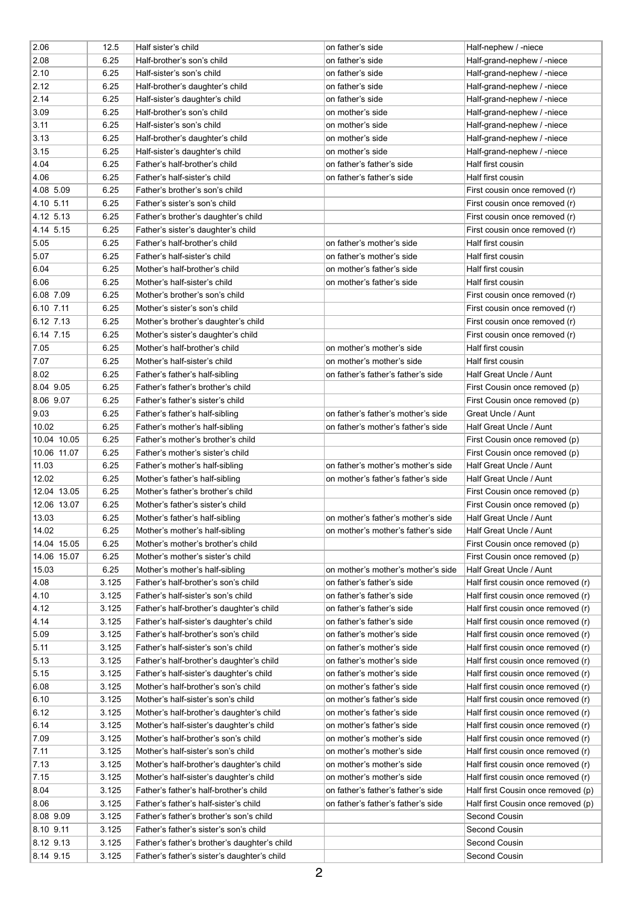| 2.06              | 12.5  | Half sister's child                                                 | on father's side                   | Half-nephew / -niece                               |
|-------------------|-------|---------------------------------------------------------------------|------------------------------------|----------------------------------------------------|
| 2.08              | 6.25  | Half-brother's son's child                                          | on father's side                   | Half-grand-nephew / -niece                         |
| 2.10              | 6.25  | Half-sister's son's child                                           | on father's side                   | Half-grand-nephew / -niece                         |
| 2.12              | 6.25  | Half-brother's daughter's child                                     | on father's side                   | Half-grand-nephew / -niece                         |
| 2.14              | 6.25  | Half-sister's daughter's child                                      | on father's side                   | Half-grand-nephew / -niece                         |
| 3.09              | 6.25  | Half-brother's son's child                                          | on mother's side                   | Half-grand-nephew / -niece                         |
| 3.11              | 6.25  | Half-sister's son's child                                           | on mother's side                   | Half-grand-nephew / -niece                         |
| 3.13              | 6.25  | Half-brother's daughter's child                                     | on mother's side                   | Half-grand-nephew / -niece                         |
| 3.15              | 6.25  | Half-sister's daughter's child                                      | on mother's side                   | Half-grand-nephew / -niece                         |
| 4.04              | 6.25  | Father's half-brother's child                                       | on father's father's side          | Half first cousin                                  |
| 4.06              | 6.25  | Father's half-sister's child                                        | on father's father's side          | Half first cousin                                  |
| 4.08 5.09         | 6.25  | Father's brother's son's child                                      |                                    | First cousin once removed (r)                      |
| 4.10 5.11         | 6.25  | Father's sister's son's child                                       |                                    | First cousin once removed (r)                      |
| 4.12 5.13         | 6.25  | Father's brother's daughter's child                                 |                                    | First cousin once removed (r)                      |
| 4.14 5.15         | 6.25  | Father's sister's daughter's child                                  |                                    | First cousin once removed (r)                      |
| 5.05              | 6.25  | Father's half-brother's child                                       | on father's mother's side          | Half first cousin                                  |
| 5.07              | 6.25  | Father's half-sister's child                                        | on father's mother's side          | Half first cousin                                  |
| 6.04              | 6.25  | Mother's half-brother's child                                       | on mother's father's side          | Half first cousin                                  |
| 6.06              | 6.25  | Mother's half-sister's child                                        | on mother's father's side          | Half first cousin                                  |
| 6.08 7.09         | 6.25  | Mother's brother's son's child                                      |                                    | First cousin once removed (r)                      |
| $6.10$ 7.11       | 6.25  | Mother's sister's son's child                                       |                                    | First cousin once removed (r)                      |
| 6.12 7.13         | 6.25  | Mother's brother's daughter's child                                 |                                    | First cousin once removed (r)                      |
| 6.14 7.15         | 6.25  |                                                                     |                                    |                                                    |
| 7.05              | 6.25  | Mother's sister's daughter's child<br>Mother's half-brother's child | on mother's mother's side          | First cousin once removed (r)<br>Half first cousin |
| 7.07              |       |                                                                     | on mother's mother's side          |                                                    |
|                   | 6.25  | Mother's half-sister's child                                        |                                    | Half first cousin                                  |
| 8.02<br>8.04 9.05 | 6.25  | Father's father's half-sibling                                      | on father's father's father's side | Half Great Uncle / Aunt                            |
|                   | 6.25  | Father's father's brother's child                                   |                                    | First Cousin once removed (p)                      |
| 8.06 9.07         | 6.25  | Father's father's sister's child                                    |                                    | First Cousin once removed (p)                      |
| 9.03              | 6.25  | Father's father's half-sibling                                      | on father's father's mother's side | <b>Great Uncle / Aunt</b>                          |
| 10.02             | 6.25  | Father's mother's half-sibling                                      | on father's mother's father's side | Half Great Uncle / Aunt                            |
| 10.04 10.05       | 6.25  | Father's mother's brother's child                                   |                                    | First Cousin once removed (p)                      |
| 10.06 11.07       | 6.25  | Father's mother's sister's child                                    |                                    | First Cousin once removed (p)                      |
| 11.03             | 6.25  | Father's mother's half-sibling                                      | on father's mother's mother's side | Half Great Uncle / Aunt                            |
| 12.02             | 6.25  | Mother's father's half-sibling                                      | on mother's father's father's side | Half Great Uncle / Aunt                            |
| 12.04 13.05       | 6.25  | Mother's father's brother's child                                   |                                    | First Cousin once removed (p)                      |
| 12.06 13.07       | 6.25  | Mother's father's sister's child                                    |                                    | First Cousin once removed (p)                      |
| 13.03             | 6.25  | Mother's father's half-sibling                                      | on mother's father's mother's side | Half Great Uncle / Aunt                            |
| 14.02             | 6.25  | Mother's mother's half-sibling                                      | on mother's mother's father's side | Half Great Uncle / Aunt                            |
| 14.04 15.05       | 6.25  | Mother's mother's brother's child                                   |                                    | First Cousin once removed (p)                      |
| 14.06 15.07       | 6.25  | Mother's mother's sister's child                                    |                                    | First Cousin once removed (p)                      |
| 15.03             | 6.25  | Mother's mother's half-sibling                                      | on mother's mother's mother's side | Half Great Uncle / Aunt                            |
| 4.08              | 3.125 | Father's half-brother's son's child                                 | on father's father's side          | Half first cousin once removed (r)                 |
| 4.10              | 3.125 | Father's half-sister's son's child                                  | on father's father's side          | Half first cousin once removed (r)                 |
| 4.12              | 3.125 | Father's half-brother's daughter's child                            | on father's father's side          | Half first cousin once removed (r)                 |
| 4.14              | 3.125 | Father's half-sister's daughter's child                             | on father's father's side          | Half first cousin once removed (r)                 |
| 5.09              | 3.125 | Father's half-brother's son's child                                 | on father's mother's side          | Half first cousin once removed (r)                 |
| 5.11              | 3.125 | Father's half-sister's son's child                                  | on father's mother's side          | Half first cousin once removed (r)                 |
| 5.13              | 3.125 | Father's half-brother's daughter's child                            | on father's mother's side          | Half first cousin once removed (r)                 |
| 5.15              | 3.125 | Father's half-sister's daughter's child                             | on father's mother's side          | Half first cousin once removed (r)                 |
| 6.08              | 3.125 | Mother's half-brother's son's child                                 | on mother's father's side          | Half first cousin once removed (r)                 |
| 6.10              | 3.125 | Mother's half-sister's son's child                                  | on mother's father's side          | Half first cousin once removed (r)                 |
| 6.12              | 3.125 | Mother's half-brother's daughter's child                            | on mother's father's side          | Half first cousin once removed (r)                 |
| 6.14              | 3.125 | Mother's half-sister's daughter's child                             | on mother's father's side          | Half first cousin once removed (r)                 |
| 7.09              | 3.125 | Mother's half-brother's son's child                                 | on mother's mother's side          | Half first cousin once removed (r)                 |
| 7.11              | 3.125 | Mother's half-sister's son's child                                  | on mother's mother's side          | Half first cousin once removed (r)                 |
| 7.13              | 3.125 | Mother's half-brother's daughter's child                            | on mother's mother's side          | Half first cousin once removed (r)                 |
| 7.15              | 3.125 | Mother's half-sister's daughter's child                             | on mother's mother's side          | Half first cousin once removed (r)                 |
| 8.04              | 3.125 | Father's father's half-brother's child                              | on father's father's father's side | Half first Cousin once removed (p)                 |
| 8.06              | 3.125 | Father's father's half-sister's child                               | on father's father's father's side | Half first Cousin once removed (p)                 |
| 8.08 9.09         | 3.125 | Father's father's brother's son's child                             |                                    | Second Cousin                                      |
| 8.10 9.11         | 3.125 | Father's father's sister's son's child                              |                                    | <b>Second Cousin</b>                               |
| 8.12 9.13         | 3.125 | Father's father's brother's daughter's child                        |                                    | <b>Second Cousin</b>                               |
| 8.14 9.15         | 3.125 | Father's father's sister's daughter's child                         |                                    | <b>Second Cousin</b>                               |